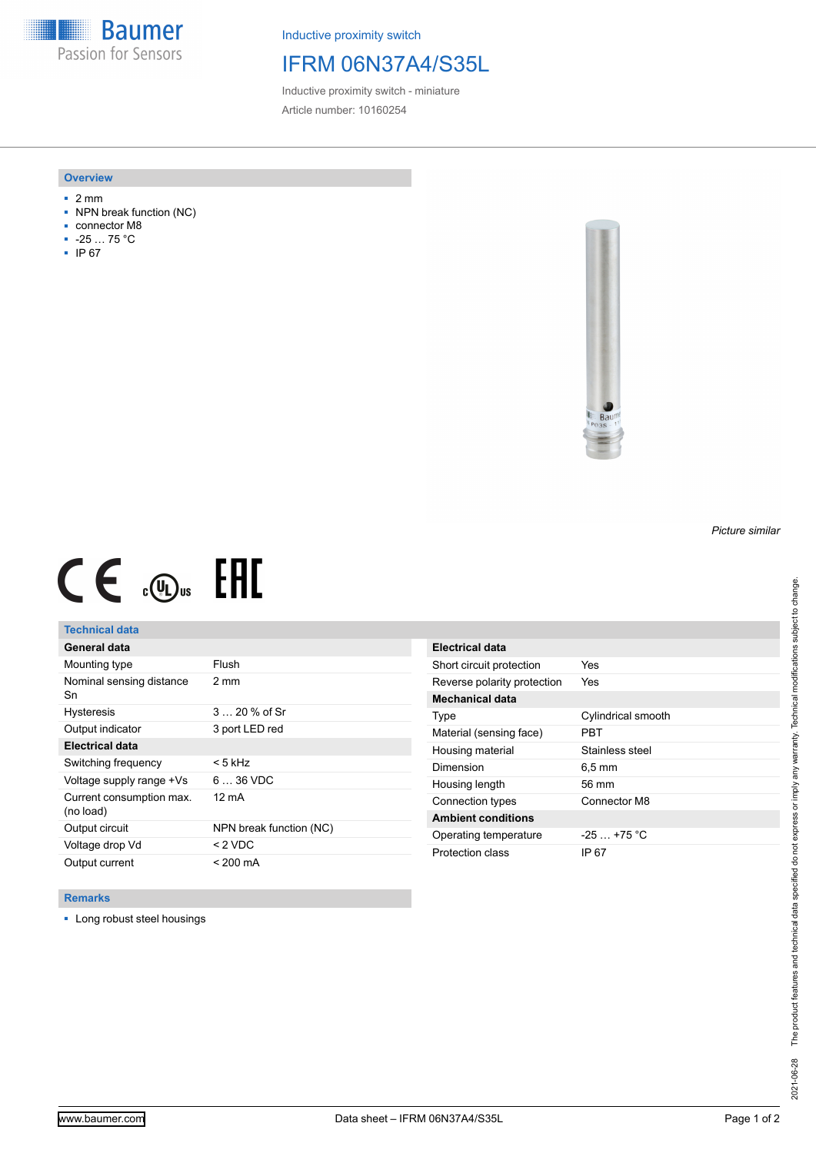**Baumer** Passion for Sensors

Inductive proximity switch

# IFRM 06N37A4/S35L

Inductive proximity switch - miniature Article number: 10160254

### **Overview**

- 2 mm
- NPN break function (NC)
- connector M8
- -25 … 75 °C
- IP 67



# $CE \mathcal{L}$  (Dus FRE

## **Technical data**

| General data                          |                         |
|---------------------------------------|-------------------------|
| Mounting type                         | Flush                   |
| Nominal sensing distance<br>Sn        | $2 \text{ mm}$          |
| <b>Hysteresis</b>                     | $320%$ of Sr            |
| Output indicator                      | 3 port LED red          |
| Electrical data                       |                         |
| Switching frequency                   | < 5 kHz                 |
| Voltage supply range +Vs              | $636$ VDC               |
| Current consumption max.<br>(no load) | 12 mA                   |
| Output circuit                        | NPN break function (NC) |
| Voltage drop Vd                       | $<$ 2 VDC               |
| Output current                        | $< 200 \text{ mA}$      |

| Electrical data             |                    |
|-----------------------------|--------------------|
| Short circuit protection    | Yes                |
| Reverse polarity protection | Yes                |
| Mechanical data             |                    |
| Type                        | Cylindrical smooth |
| Material (sensing face)     | PRT                |
| Housing material            | Stainless steel    |
| Dimension                   | 6.5 mm             |
| Housing length              | 56 mm              |
| Connection types            | Connector M8       |
| <b>Ambient conditions</b>   |                    |
| Operating temperature       | $-25 + 75$ °C      |
| Protection class            | IP 67              |

#### **Remarks**

■ Long robust steel housings

*Picture similar*